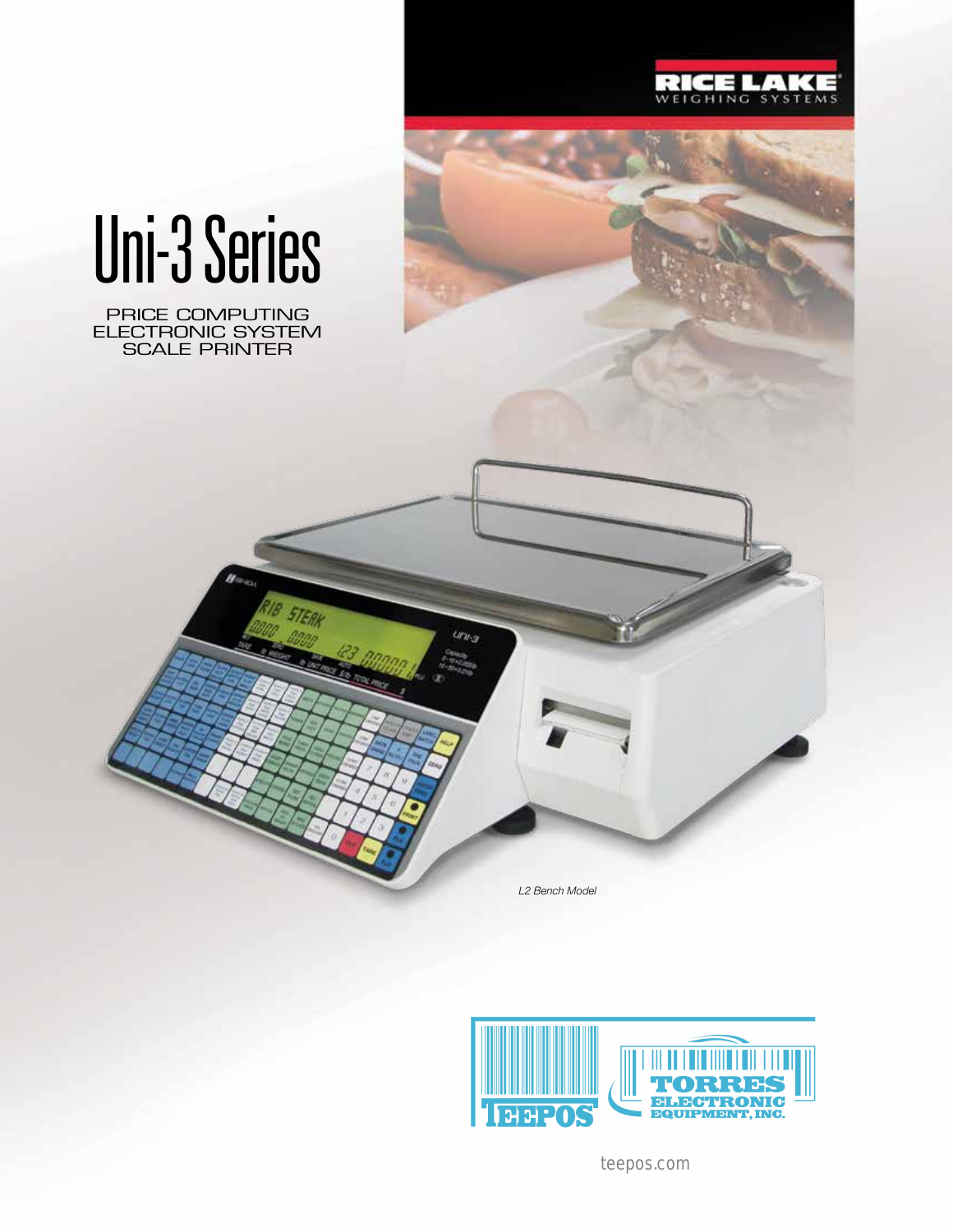



# Uni-3 Series

PRICE COMPUTING ELECTRONIC SYSTEM SCALE PRINTER

**STERK** 

*L2 Bench Model*

 $u_{u_3}$ 



teepos.com